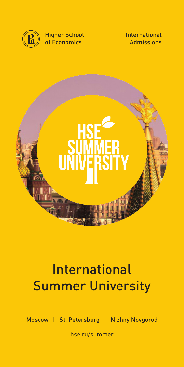

Higher School of Economics





# **International** Summer University

Moscow | St. Petersburg | Nizhny Novgorod

hse.ru/summer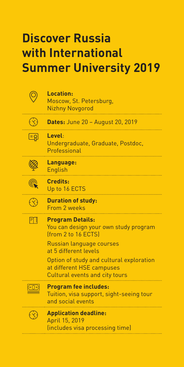# **Discover Russia with International Summer University 2019**

|            | <b>Location:</b><br>Moscow, St. Petersburg,<br><b>Nizhny Novgorod</b>                                                                                                                                                       |
|------------|-----------------------------------------------------------------------------------------------------------------------------------------------------------------------------------------------------------------------------|
|            | <b>Dates:</b> June 20 - August 20, 2019                                                                                                                                                                                     |
| ြးချ       | Level:<br>Undergraduate, Graduate, Postdoc,<br>Professional                                                                                                                                                                 |
|            | Language:<br><b>English</b>                                                                                                                                                                                                 |
|            | Credits:<br>Up to 16 ECTS                                                                                                                                                                                                   |
|            | <b>Duration of study:</b><br>From 2 weeks                                                                                                                                                                                   |
| FTI        | <b>Program Details:</b><br>You can design your own study program<br><b>Ifrom 2 to 16 ECTS</b><br>Russian language courses<br>at 5 different levels<br>Option of study and cultural exploration<br>at different HSE campuses |
|            | Cultural events and city tours                                                                                                                                                                                              |
| $\circ$ ি) | <b>Program fee includes:</b><br>Tuition, visa support, sight-seeing tour<br>and social events                                                                                                                               |
|            | <b>Application deadline:</b><br>April 15, 2019<br>(includes visa processing time)                                                                                                                                           |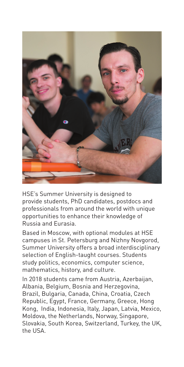

HSE's Summer University is designed to provide students, PhD candidates, postdocs and professionals from around the world with unique opportunities to enhance their knowledge of Russia and Eurasia.

Based in Moscow, with optional modules at HSE campuses in St. Petersburg and Nizhny Novgorod, Summer University offers a broad interdisciplinary selection of English-taught courses. Students study politics, economics, computer science, mathematics, history, and culture.

In 2018 students came from Austria, Azerbaijan, Albania, Belgium, Bosnia and Herzegovina, Brazil, Bulgaria, Canada, China, Croatia, Czech Republic, Egypt, France, Germany, Greece, Hong Kong, India, Indonesia, Italy, Japan, Latvia, Mexico, Moldova, the Netherlands, Norway, Singapore, Slovakia, South Korea, Switzerland, Turkey, the UK, the USA.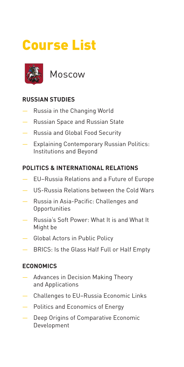# Course List



Moscow

# **RUSSIAN STUDIES**

- Russia in the Changing World
- Russian Space and Russian State
- Russia and Global Food Security
- Explaining Contemporary Russian Politics: Institutions and Beyond

# **POLITICS & INTERNATIONAL RELATIONS**

- EU–Russia Relations and a Future of Europe
- US-Russia Relations between the Cold Wars
- Russia in Asia-Pacific: Challenges and Opportunities
- Russia's Soft Power: What It is and What It Might be
- Global Actors in Public Policy
- BRICS: Is the Glass Half Full or Half Empty

## **ECONOMICS**

- Advances in Decision Making Theory and Applications
- Challenges to EU–Russia Economic Links
- Politics and Economics of Energy
- Deep Origins of Comparative Economic Development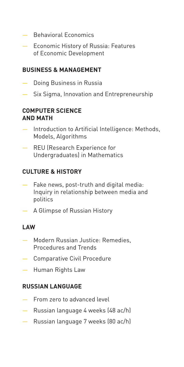- Behavioral Economics
- Economic History of Russia: Features of Economic Development

# **BUSINESS & MANAGEMENT**

- Doing Business in Russia
- Six Sigma, Innovation and Entrepreneurship

#### **COMPUTER SCIENCE AND MATH**

- Introduction to Artificial Intelligence: Methods. Models, Algorithms
- REU (Research Experience for Undergraduates) in Mathematics

## **CULTURE & HISTORY**

- Fake news, post-truth and digital media: Inquiry in relationship between media and politics
- A Glimpse of Russian History

#### **LAW**

- Modern Russian Justice: Remedies, Procedures and Trends
- Comparative Civil Procedure
- Human Rights Law

#### **RUSSIAN LANGUAGE**

- From zero to advanced level
- Russian language 4 weeks (48 ac/h)
- Russian language 7 weeks (80 ac/h)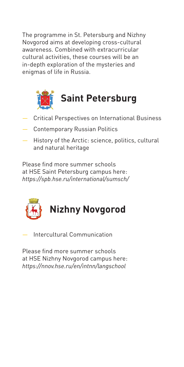The programme in St. Petersburg and Nizhny Novgorod aims at developing cross-cultural awareness. Combined with extracurricular cultural activities, these courses will be an in-depth exploration of the mysteries and enigmas of life in Russia.



- Critical Perspectives on International Business
- Contemporary Russian Politics
- History of the Arctic: science, politics, cultural and natural heritage

Please find more summer schools at HSE Saint Petersburg campus here: *https://spb.hse.ru/international/sumsch/* 



— Intercultural Communication

Please find more summer schools at HSE Nizhny Novgorod campus here: *https://nnov.hse.ru/en/intnn/langschool*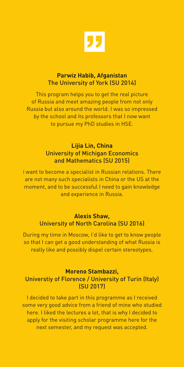

#### **Parwiz Habib, Afganistan**  The University of York (SU 2014)

This program helps you to get the real picture of Russia and meet amazing people from not only Russia but also around the world. I was so impressed by the school and its professors that I now want to pursue my PhD studies in HSE.

#### **Lijia Lin, China**  University of Michigan Economics and Mathematics (SU 2015)

I want to become a specialist in Russian relations. There are not many such specialists in China or the US at the moment, and to be successful I need to gain knowledge and experience in Russia.

#### **Alexis Shaw,**  University of North Carolina (SU 2016)

During my time in Moscow, I'd like to get to know people so that I can get a good understanding of what Russia is really like and possibly dispel certain stereotypes.

#### **Moreno Stambazzi,**  Universtiy of Florence / University of Turin (Italy) (SU 2017)

I decided to take part in this programme as I received some very good advice from a friend of mine who studied here. I liked the lectures a lot, that is why I decided to apply for the visiting scholar programme here for the next semester, and my request was accepted.